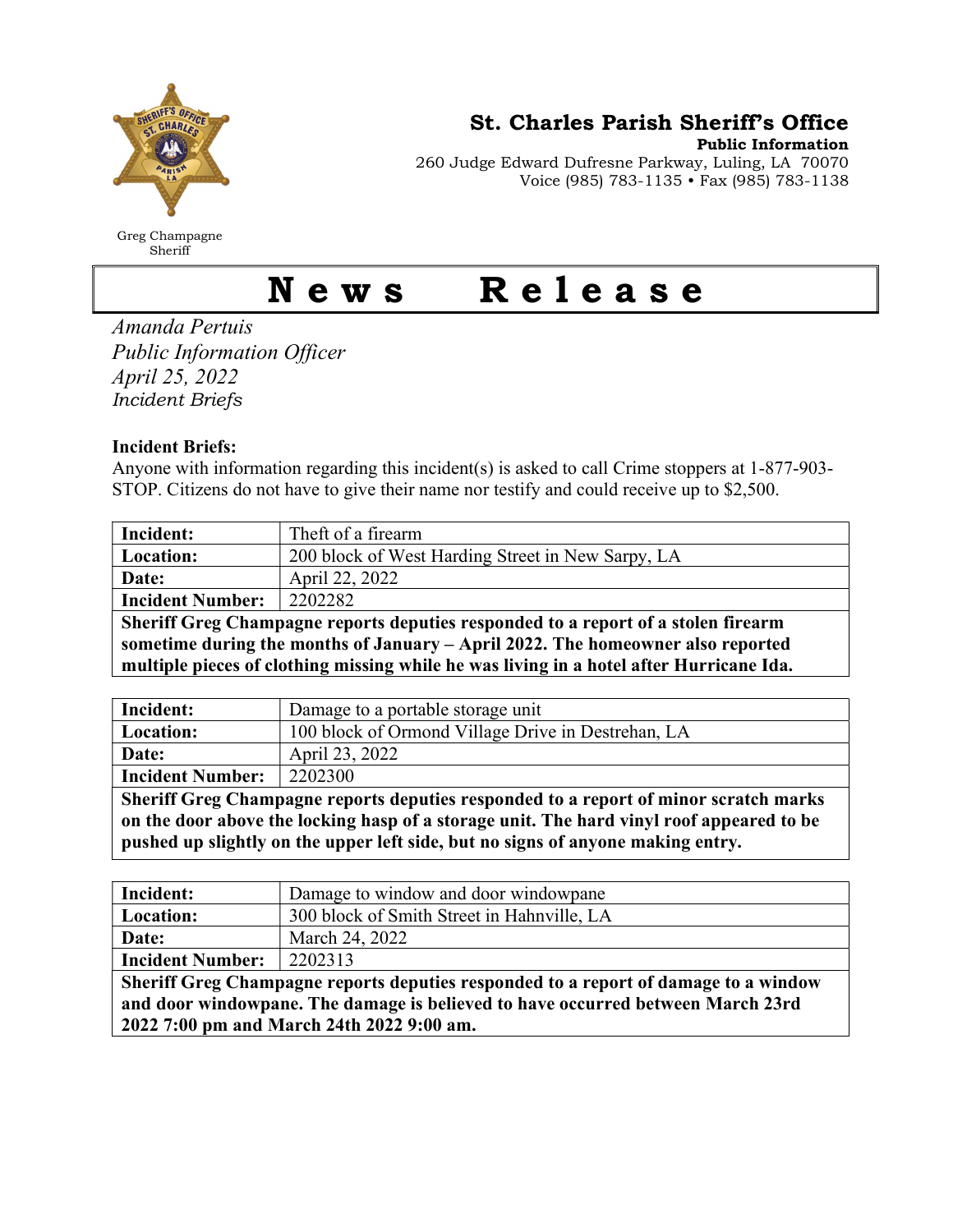

Greg Champagne Sheriff

St. Charles Parish Sheriff's Office

Public Information

260 Judge Edward Dufresne Parkway, Luling, LA 70070 Voice (985) 783-1135 • Fax (985) 783-1138

## News Release

Amanda Pertuis Public Information Officer April 25, 2022 Incident Briefs

## Incident Briefs:

Anyone with information regarding this incident(s) is asked to call Crime stoppers at 1-877-903- STOP. Citizens do not have to give their name nor testify and could receive up to \$2,500.

| Incident:                                                                               | Theft of a firearm                                |  |
|-----------------------------------------------------------------------------------------|---------------------------------------------------|--|
| Location:                                                                               | 200 block of West Harding Street in New Sarpy, LA |  |
| Date:                                                                                   | April 22, 2022                                    |  |
| <b>Incident Number:</b>                                                                 | 2202282                                           |  |
| Sheriff Greg Champagne reports deputies responded to a report of a stolen firearm       |                                                   |  |
| sometime during the months of January - April 2022. The homeowner also reported         |                                                   |  |
| multiple pieces of clothing missing while he was living in a hotel after Hurricane Ida. |                                                   |  |

| Incident:                                                                                                                                                                                                                                                                            | Damage to a portable storage unit                  |
|--------------------------------------------------------------------------------------------------------------------------------------------------------------------------------------------------------------------------------------------------------------------------------------|----------------------------------------------------|
| Location:                                                                                                                                                                                                                                                                            | 100 block of Ormond Village Drive in Destrehan, LA |
| Date:                                                                                                                                                                                                                                                                                | April 23, 2022                                     |
| <b>Incident Number:</b>                                                                                                                                                                                                                                                              | 2202300                                            |
| Sheriff Greg Champagne reports deputies responded to a report of minor scratch marks                                                                                                                                                                                                 |                                                    |
| $\bullet$ and $\bullet$ in the set of $\bullet$<br>$\mathbf{A}$ , and a set of the set of the set of the set of the set of the set of the set of the set of the set of the set of the set of the set of the set of the set of the set of the set of the set of the set of the set of |                                                    |

on the door above the locking hasp of a storage unit. The hard vinyl roof appeared to be pushed up slightly on the upper left side, but no signs of anyone making entry.

| Incident:                                                                           | Damage to window and door windowpane       |  |
|-------------------------------------------------------------------------------------|--------------------------------------------|--|
| Location:                                                                           | 300 block of Smith Street in Hahnville, LA |  |
| Date:                                                                               | March 24, 2022                             |  |
| <b>Incident Number:</b>                                                             | 2202313                                    |  |
| Sheriff Greg Champagne reports deputies responded to a report of damage to a window |                                            |  |
| and door windowpane. The damage is believed to have occurred between March 23rd     |                                            |  |
| 2022 7:00 pm and March 24th 2022 9:00 am.                                           |                                            |  |